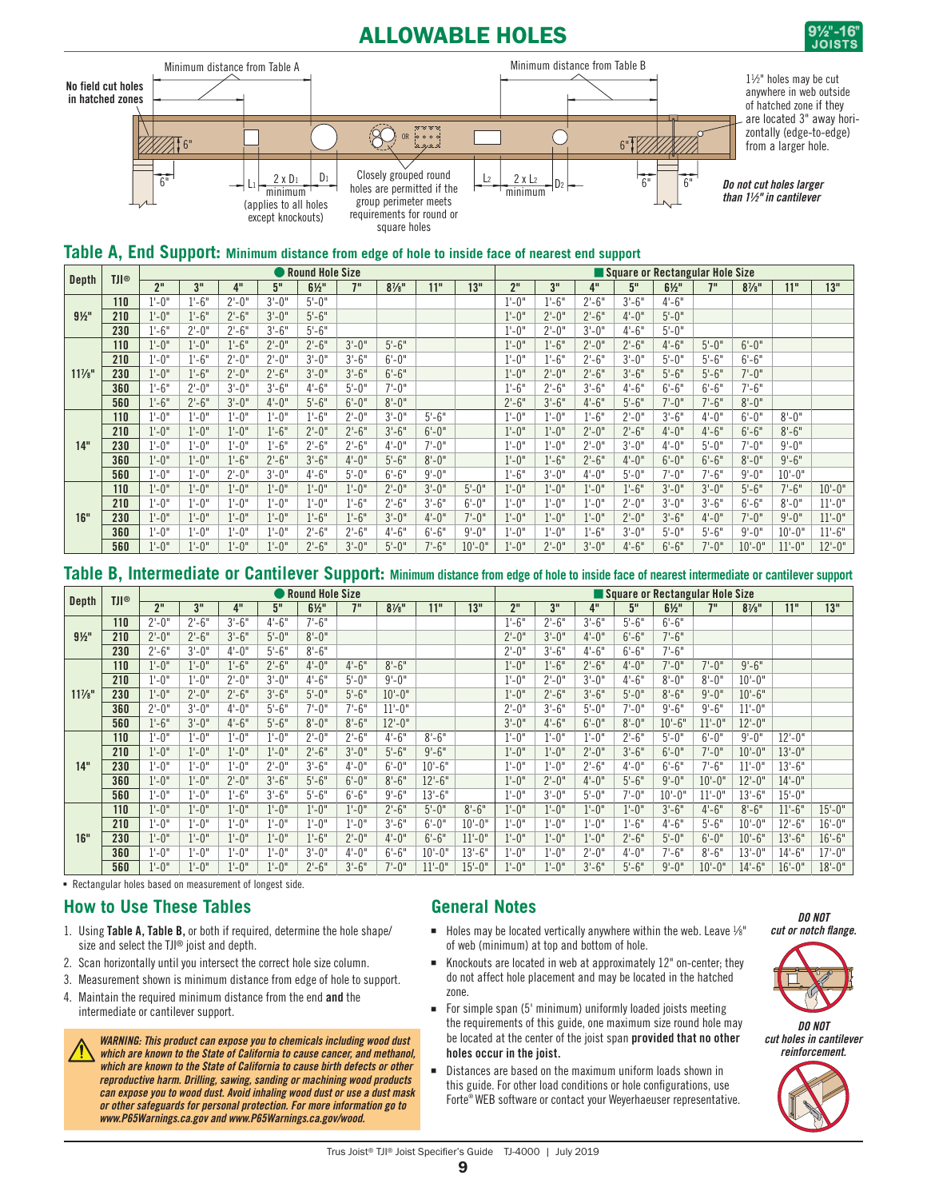# ALLOWABLE HOLES







| <b>Depth</b>      | <b>TJI®</b> |                 |            |           |           | Round Hole Size  |           |                  |            |            |                 |           |           | Square or Rectangular Hole Size |                  |            |                  |            |            |
|-------------------|-------------|-----------------|------------|-----------|-----------|------------------|-----------|------------------|------------|------------|-----------------|-----------|-----------|---------------------------------|------------------|------------|------------------|------------|------------|
|                   |             | 2 <sup>11</sup> | 3"         | 4"        | 5"        | $6\frac{1}{2}$ " | 7"        | $8\frac{1}{8}$ " | 11"        | 13"        | 2 <sup>''</sup> | 3"        | 4"        | 5"                              | $6\frac{1}{2}$ " | 7"         | $8\frac{7}{8}$ " | 11"        | 13"        |
|                   | 110         | $1 - 0$ "       | $1 - 6"$   | $2 - 0$ " | $3'-0''$  | $5 - 0$ "        |           |                  |            |            | $1'-0''$        | $1 - 6"$  | $2 - 6"$  | $3'-6''$                        | $4 - 6"$         |            |                  |            |            |
| $9\frac{1}{2}$ "  | 210         | $1 - 0$ "       | $1 - 6"$   | $2'-6''$  | $3'-0''$  | $5 - 6"$         |           |                  |            |            | $1 - 0$ "       | $2 - 0$ " | $2 - 6"$  | $4 - 0$ "                       | $5 - 0$ "        |            |                  |            |            |
|                   | 230         | $1 - 6"$        | $2'-0''$   | $2 - 6"$  | $3'-6''$  | $5 - 6"$         |           |                  |            |            | $1'-0''$        | $2 - 0$ " | $3'-0''$  | $4 - 6"$                        | $5 - 0$ "        |            |                  |            |            |
|                   | 110         | $1 - 0$ "       | $1 - 0$ "  | $1'-6''$  | $2 - 0$ " | $2'-6''$         | $3'-0''$  | $5'-6''$         |            |            | $1 - 0$ "       | $1'-6''$  | $2'-0''$  | $2'-6''$                        | $4 - 6"$         | $5 - 0$ "  | $6' - 0''$       |            |            |
|                   | 210         | $1 - 0$ "       | $1 - 6"$   | $2 - 0$ " | $2 - 0$ " | $3'-0''$         | $3'-6''$  | $6'-0''$         |            |            | $1'-0''$        | $1 - 6"$  | $2 - 6"$  | $3 - 0$ "                       | $5 - 0$ "        | $5 - 6"$   | $6 - 6"$         |            |            |
| $11\frac{7}{8}$ " | 230         | $1'-0''$        | $1 - 6"$   | $2 - 0$ " | $2 - 6"$  | $3'-0''$         | $3'-6''$  | $6'-6''$         |            |            | $1'-0''$        | $2'-0''$  | $2 - 6"$  | $3'-6''$                        | $5 - 6"$         | $5'-6''$   | $7 - 0$ "        |            |            |
|                   | 360         | $1'-6''$        | $2 - 0$ "  | $3'-0''$  | $3'-6''$  | $4 - 6"$         | $5 - 0$ " | $7 - 0"$         |            |            | $1'-6''$        | $2 - 6"$  | $3'-6''$  | $4 - 6"$                        | $6 - 6"$         | $6' - 6"$  | $7 - 6"$         |            |            |
|                   | 560         | $1'-6''$        | $2 - 6"$   | $3'-0''$  | $4 - 0$ " | $5 - 6"$         | $6'-0''$  | $8 - 0$ "        |            |            | $2'-6''$        | $3'-6''$  | $4 - 6"$  | $5 - 6"$                        | $7 - 0$ "        | $7 - 6"$   | $8 - 0$ "        |            |            |
|                   | 110         | $1 - 0''$       | $1'-0''$   | $1'-0''$  | $1 - 0$ " | $1 - 6"$         | $2 - 0$ " | $3'-0''$         | $5'-6''$   |            | $1 - 0$ "       | $1 - 0$ " | $1'-6''$  | $2 - 0$ "                       | $3'-6''$         | $4 - 0$ "  | $6'-0''$         | $8 - 0$ "  |            |
|                   | 210         | $1 - 0$ "       | $1'-0''$   | $1'-0''$  | $1 - 6"$  | $2 - 0$ "        | $2 - 6"$  | $3'-6''$         | $6'-0''$   |            | $1'-0''$        | $1 - 0$ " | $2 - 0$ " | $2'-6''$                        | $4 - 0$ "        | $4 - 6"$   | $6'-6''$         | $8 - 6"$   |            |
| 14"               | 230         | $1 - 0$ "       | $1'-0''$   | $1'-0''$  | $1 - 6"$  | $2 - 6"$         | $2 - 6"$  | $4 - 0$ "        | $7 - 0$ "  |            | $1 - 0$ "       | $1 - 0$ " | $2 - 0$ " | $3'-0''$                        | $4 - 0$ "        | $5 - 0$ "  | $7 - 0$ "        | $9'-0''$   |            |
|                   | 360         | $1 - 0$ "       | $1'-0''$   | $1 - 6"$  | $2'-6''$  | $3'-6''$         | $4 - 0$ " | $5' - 6''$       | $8 - 0$ "  |            | $1 - 0$ "       | $1 - 6"$  | $2 - 6"$  | $4 - 0$ "                       | $6'-0''$         | $6' - 6"$  | $8 - 0$ "        | $9' - 6''$ |            |
|                   | 560         | $1'-0''$        | $1 - 0$ "  | $2 - 0$ " | $3'-0''$  | $4 - 6"$         | $5 - 0$ " | $6' - 6"$        | $9' - 0''$ |            | $1'-6''$        | $3'-0''$  | $4 - 0$ " | $5 - 0$ "                       | $7 - 0$ "        | $7 - 6"$   | $9' - 0''$       | $10 - 0$ " |            |
|                   | 110         | $1'-0''$        | $1 - 0$ "  | $1 - 0$ " | $1 - 0$ " | $1 - 0$ "        | $1 - 0$ " | $2 - 0$ "        | $3'-0''$   | $5 - 0$ "  | $1'-0''$        | $1 - 0$ " | $1'-0''$  | $1'-6''$                        | $3'-0''$         | $3'-0''$   | $5'-6''$         | $7'-6''$   | $10 - 0$ " |
|                   | 210         | $1 - 0$ "       | $1 - 0$ "  | $1 - 0$ " | $1 - 0$ " | $1 - 0$ "        | $1 - 6"$  | $2 - 6"$         | $3'-6''$   | $6' - 0''$ | $1 - 0$ "       | $1 - 0$ " | $1 - 0$ " | $2 - 0$ "                       | $3'-0''$         | $3'-6''$   | $6 - 6"$         | $8 - 0$ "  | $11 - 0$ " |
| 16"               | 230         | $1 - 0$ "       | $1'-0''$   | $1'-0''$  | $1 - 0$ " | $1 - 6"$         | $1 - 6"$  | $3'-0''$         | $4 - 0''$  | $7 - 0$ "  | $1 - 0$ "       | $1 - 0$ " | $1 - 0$ " | $2 - 0$ "                       | $3'-6''$         | $4 - 0$ "  | $7 - 0$ "        | $9' - 0''$ | $11 - 0$ " |
|                   | 360         | $1 - 0$ "       | $1' - 0''$ | $1'-0''$  | $1 - 0$ " | $2 - 6"$         | $2 - 6"$  | $4 - 6"$         | $6 - 6"$   | $9' - 0''$ | $1 - 0$ "       | $1 - 0$ " | $1 - 6"$  | $3 - 0$ "                       | $5 - 0$ "        | $5' - 6''$ | $9' - 0''$       | $10 - 0$   | $11 - 6"$  |
|                   | 560         | $1 - 0$ "       | $1'-0''$   | $1 - 0$ " | $1 - 0$ " | $2'-6''$         | $3'-0''$  | $5 - 0$ "        | $7 - 6"$   | $10 - 0$ " | $1 - 0$ "       | $2 - 0$ " | $3'-0''$  | $4 - 6"$                        | $6 - 6"$         | $7 - 0$ "  | $10 - 0$ "       | $11 - 0$ " | $12 - 0$ " |

### **Table B, Intermediate or Cantilever Support: Minimum distance from edge of hole to inside face of nearest intermediate or cantilever support**

| Depth             | <b>TJI®</b> |                 |            |           |           | Round Hole Size |           |                  |            |            |                 |           |           |           | Square or Rectangular Hole Size |            |                  |            |            |
|-------------------|-------------|-----------------|------------|-----------|-----------|-----------------|-----------|------------------|------------|------------|-----------------|-----------|-----------|-----------|---------------------------------|------------|------------------|------------|------------|
|                   |             | 2 <sup>11</sup> | 3"         | 4"        | 5"        | $6\frac{1}{2}$  | 7"        | $8\frac{7}{8}$ " | 11"        | 13"        | 2 <sup>''</sup> | 3"        | 4"        | 5"        | $6\frac{1}{2}$                  | 7"         | $8\frac{7}{8}$ " | 11"        | 13"        |
|                   | 110         | $2 - 0$ "       | $2 - 6"$   | $3'-6''$  | $4 - 6"$  | $7'-6''$        |           |                  |            |            | $1 - 6"$        | $2'-6''$  | $3'-6''$  | $5 - 6"$  | $6'-6''$                        |            |                  |            |            |
| $9\frac{1}{2}$ "  | 210         | $2 - 0$ "       | $2 - 6"$   | $3'-6''$  | $5 - 0$ " | $8 - 0$ "       |           |                  |            |            | $2 - 0$ "       | $3'-0''$  | $4 - 0$ " | $6'-6''$  | $7 - 6"$                        |            |                  |            |            |
|                   | 230         | $2 - 6"$        | $3'-0''$   | $4 - 0$ " | $5 - 6"$  | $8 - 6"$        |           |                  |            |            | $2 - 0$ "       | $3'-6''$  | $4 - 6"$  | $6 - 6"$  | $7 - 6"$                        |            |                  |            |            |
|                   | 110         | $1'-0''$        | $1'-0''$   | $1 - 6"$  | $2 - 6"$  | $4 - 0$ "       | $4 - 6"$  | $8 - 6"$         |            |            | $1 - 0$ "       | $1 - 6"$  | $2 - 6"$  | $4 - 0$ " | $7 - 0$ "                       | $7 - 0$ "  | $9 - 6"$         |            |            |
|                   | 210         | $1'-0''$        | $1 - 0$ "  | $2 - 0$ " | $3'-0''$  | $4 - 6"$        | $5 - 0$ " | $9'-0''$         |            |            | $1 - 0$ "       | $2 - 0$ " | $3'-0''$  | $4 - 6"$  | $8 - 0$ "                       | $8 - 0$ "  | $10 - 0$ "       |            |            |
| $11\frac{7}{8}$ " | 230         | $1'-0''$        | $2'-0''$   | $2'-6''$  | $3'-6''$  | $5 - 0$ "       | $5 - 6"$  | $10 - 0$ "       |            |            | $1 - 0$ "       | $2'-6''$  | $3'-6''$  | $5 - 0$ " | $8 - 6"$                        | $9' - 0''$ | $10 - 6"$        |            |            |
|                   | 360         | $2 - 0$ "       | $3'-0''$   | $4 - 0$ " | $5 - 6"$  | $7 - 0$ "       | $7 - 6"$  | $11 - 0''$       |            |            | $2 - 0$ "       | $3'-6''$  | $5 - 0$ " | $7 - 0$ " | $9 - 6"$                        | $9' - 6''$ | $11 - 0''$       |            |            |
|                   | 560         | $1'-6''$        | $3'-0''$   | $4 - 6"$  | $5 - 6"$  | $8 - 0$ "       | $8 - 6"$  | $12 - 0$ "       |            |            | $3'-0''$        | $4 - 6"$  | $6'-0''$  | $8 - 0$ " | $10 - 6"$                       | $11 - 0''$ | $12 - 0$ "       |            |            |
|                   | 110         | $1 - 0$ "       | $1 - 0$ "  | $1 - 0$ " | $1 - 0$ " | $2 - 0$ "       | $2 - 6"$  | $4 - 6"$         | $8 - 6"$   |            | $1 - 0$ "       | $1 - 0$ " | $1 - 0"$  | $2'-6''$  | $5 - 0$ "                       | $6 - 0$ "  | $9'-0''$         | $12 - 0$ " |            |
|                   | 210         | $1 - 0$ "       | $1 - 0$ "  | $1'-0''$  | $1 - 0$ " | $2 - 6"$        | $3'-0''$  | $5'-6''$         | $9 - 6"$   |            | $1'-0''$        | $1'-0''$  | $2 - 0$ " | $3'-6''$  | $6'-0''$                        | $7 - 0$ "  | $10 - 0$ "       | $13 - 0$ " |            |
| 14"               | 230         | $1'-0''$        | $1' - 0''$ | $1 - 0$ " | $2 - 0$ " | $3'-6''$        | $4 - 0$ " | $6' - 0''$       | $10 - 6"$  |            | $1 - 0$ "       | $1 - 0$ " | $2 - 6"$  | $4 - 0''$ | $6'-6''$                        | 7'-6"      | $11 - 0''$       | $13 - 6"$  |            |
|                   | 360         | $1 - 0$ "       | $1 - 0$ "  | $2'-0''$  | $3'-6''$  | $5 - 6"$        | $6'-0''$  | $8 - 6"$         | $12 - 6"$  |            | $1'-0''$        | $2 - 0$ " | $4 - 0$ " | $5 - 6"$  | $9' - 0''$                      | $10 - 0$ " | $12 - 0$ "       | $14 - 0$ " |            |
|                   | 560         | $1 - 0$ "       | $1' - 0''$ | $1 - 6"$  | $3'-6''$  | $5 - 6"$        | $6 - 6"$  | $9' - 6''$       | $13 - 6"$  |            | $1 - 0$ "       | $3'-0''$  | $5 - 0$ " | $7 - 0"$  | $10 - 0$ "                      | $11 - 0''$ | $13 - 6"$        | $15 - 0$ " |            |
|                   | 110         | $1 - 0$ "       | $1 - 0$ "  | $1'-0''$  | $1 - 0"$  | $1 - 0$ "       | $1 - 0$ " | $2 - 6"$         | $5 - 0$ "  | $8 - 6"$   | $1'-0''$        | $1'-0''$  | $1 - 0$ " | $1 - 0$ " | $3'-6''$                        | $4 - 6"$   | $8 - 6"$         | $11 - 6"$  | $15 - 0$ " |
|                   | 210         | $1'-0''$        | $1 - 0$ "  | $1 - 0$ " | $1 - 0"$  | $1 - 0$ "       | $1'-0''$  | $3'-6''$         | $6' - 0''$ | $10 - 0$ " | $1 - 0$ "       | $1 - 0$ " | $1 - 0"$  | $1 - 6"$  | $4 - 6"$                        | $5'-6''$   | $10 - 0$ "       | $12 - 6"$  | $16 - 0$ " |
| 16"               | 230         | $1'-0''$        | $1 - 0$ "  | $1'-0''$  | $1'-0''$  | $1'-6''$        | $2 - 0$ " | $4 - 0$ "        | $6'-6''$   | $11 - 0$ " | $1 - 0$ "       | $1'-0''$  | $1'-0''$  | $2'-6''$  | $5'-0''$                        | $6' - 0''$ | $10 - 6"$        | $13 - 6$ " | $16 - 6"$  |
|                   | 360         | $1 - 0''$       | $1 - 0$ "  | $1 - 0$ " | $1 - 0$ " | $3'-0''$        | $4 - 0$ " | $6'-6''$         | $10 - 0$ " | $13 - 6"$  | $1 - 0$ "       | $1 - 0$ " | $2 - 0$ " | $4 - 0$ " | $7 - 6"$                        | $8 - 6"$   | $13 - 0''$       | $14 - 6"$  | $17 - 0''$ |
|                   | 560         | $1 - 0$ "       | $1 - 0$ "  | $1 - 0$ " | $1 - 0"$  | $2'-6''$        | $3'-6''$  | $7 - 0$ "        | $11 - 0$ " | $15 - 0$ " | $1'-0''$        | $1'-0''$  | $3'-6''$  | $5 - 6"$  | $9'-0''$                        | $10 - 0$ " | $14 - 6"$        | $16 - 0"$  | $18 - 0$ " |

- Rectangular holes based on measurement of longest side.

#### **How to Use These Tables**

- 1. Using Table A, Table B, or both if required, determine the hole shape/ size and select the TJI® joist and depth.
- 2. Scan horizontally until you intersect the correct hole size column.
- 3. Measurement shown is minimum distance from edge of hole to support.
- 4. Maintain the required minimum distance from the end and the intermediate or cantilever support.



## **General Notes**

- Holes may be located vertically anywhere within the web. Leave  $\frac{1}{8}$ " of web (minimum) at top and bottom of hole.
- Knockouts are located in web at approximately 12" on-center; they do not affect hole placement and may be located in the hatched zone.
- For simple span (5' minimum) uniformly loaded joists meeting the requirements of this guide, one maximum size round hole may be located at the center of the joist span provided that no other holes occur in the joist.
- Distances are based on the maximum uniform loads shown in this guide. For other load conditions or hole configurations, use Forte® WEB software or contact your Weyerhaeuser representative.

*DO NOT cut or notch flange.*



*DO NOT cut holes in cantilever reinforcement.*

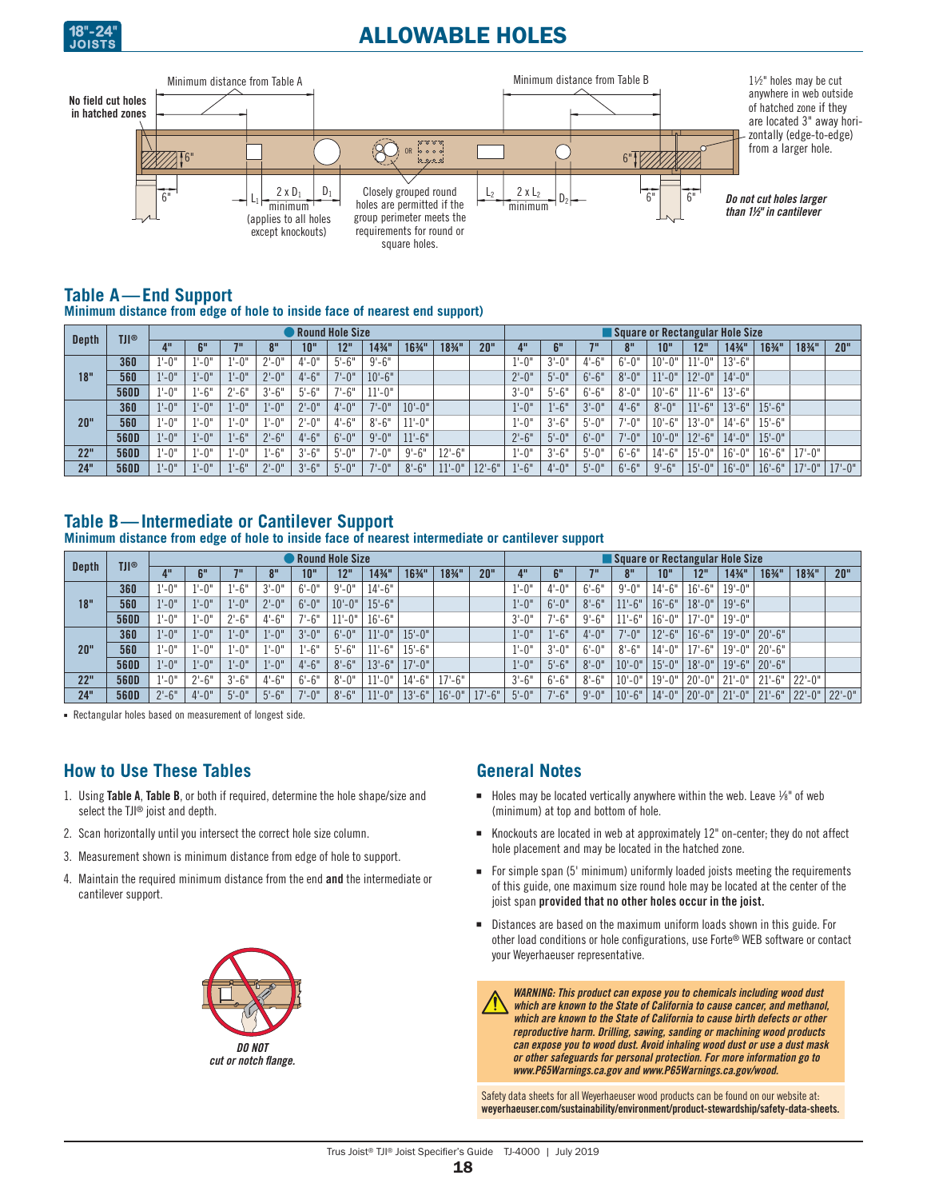

# ALLOWABLE HOLES



### **Table A—End Support**

**Minimum distance from edge of hole to inside face of nearest end support)**

|              | <b>TJI®</b> |           |            |           |                | Round Hole Size |            |            |            |            |           | Square or Rectangular Hole Size |           |            |            |            |            |                   |            |            |            |  |
|--------------|-------------|-----------|------------|-----------|----------------|-----------------|------------|------------|------------|------------|-----------|---------------------------------|-----------|------------|------------|------------|------------|-------------------|------------|------------|------------|--|
| <b>Depth</b> |             |           | <b>PII</b> | 70        | 0 <sup>H</sup> | 10"             | 12"        | 143/4"     | 1634"      | 183⁄4"     | 20"       |                                 | 6"        | 711        |            | 10"        | 12"        | $14\frac{3}{4}$ " | 1634"      | 1834"      | 20"        |  |
|              | 360         | $1 - 0"$  | $-0"$      | $1 - 0$ " | $2 - 0$ "      | $4 - 0$ "       | $5'-6''$   | $9' - 6''$ |            |            |           | $1 - 0$ "                       | $3'-0''$  | $4 - 6"$   | $6' - 0''$ | $10 - 0$ " | $1 - 0$ "  | $13 - 6"$         |            |            |            |  |
| 18"          | 560         | $1 - 0$ " | $1 - 0$ "  | $1 - 0$ " | $2 - 0$ "      | $4 - 6"$        | $7 - 0"$   | $10 - 6"$  |            |            |           | $2 - 0$                         | $5 - 0$ " | $6' - 6"$  | $8 - 0$ "  | $11 - 0''$ | $2 - 0$ "  | $14 - 0$ "        |            |            |            |  |
|              | 560D        | $1'-0''$  | $1 - 6"$   | $2 - 6"$  | $3'-6''$       | $5 - 6"$        | $7 - 6"$   | $1 - 0$ "  |            |            |           | $3'-0''$                        | $5 - 6"$  | $6' - 6"$  | $8 - 0$ "  | $10 - 6"$  | $1 - 6"$   | $13 - 6"$         |            |            |            |  |
|              | 360         | $1 - 0$ " | $1 - 0$ "  | $1 - 0$ " | $1'-0''$       | $2 - 0$ "       | $4 - 0$ "  | $7 - 0$ "  | $10 - 0$ " |            |           | $1'-0''$                        | $1 - 6"$  | $3'-0''$   | $4 - 6"$   | $8 - 0$ "  | $11 - 6"$  | $13 - 6"$         | $15 - 6"$  |            |            |  |
| 20"          | 560         | $1 - 0"$  | $1 - 0$ "  | $1'-0''$  | $1 - 0$ "      | $2 - 0$ "       | $4 - 6"$   | $8 - 6"$   | $11 - 0$ " |            |           | $1 - 0$ "                       | $3'-6''$  | $5 - 0$ "  | $7 - 0''$  | $10 - 6"$  | l3'-0'     | $14 - 6"$         | $15 - 6"$  |            |            |  |
|              | <b>560D</b> | $1 - 0$ " | $1 - 0$ "  | $1'-6''$  | $2 - 6"$       | $4 - 6"$        | $6' - 0''$ | $9' - 0''$ | $11 - 6"$  |            |           | $2 - 6"$                        | $5 - 0$ " | $6 - 0$ "  | $7 - 0$ "  | $10 - 0$ " | $12 - 6"$  | $14 - 0''$        | $15 - 0$ " |            |            |  |
| 22"          | <b>560D</b> | $1 - 0"$  | $l'-0$ "   | $1 - 0"$  | $-6"$          | $3 - 6"$        | $5 - 0$ "  | $-0"$      | $9' - 6''$ | $12 - 6"$  |           | $1 - 0$ "                       | $3'-6''$  | $5 - 0$ "  | $6 - 6"$   | $14 - 6"$  | $15 - 0$ " | $16 - 0"$         | $16 - 6"$  | $17 - 0''$ |            |  |
| 24"          | 560D        | $1 - 0$ " | $1 - 0$ "  | $1'-6''$  | $2 - 0$ "      | $3'-6''$        | $5 - 0$ "  | $7 - 0$ "  | $8 - 6"$   | $11 - 0$ " | $12 - 6"$ | $1 - 6"$                        | $4 - 0"$  | $5' - 0''$ | $6 - 6"$   | $9' - 6''$ | $15 - 0$ " | $16 - 0$ "        | $16'-6''$  | $17 - 0''$ | $17 - 0$ " |  |

## **Table B—Intermediate or Cantilever Support**

**Minimum distance from edge of hole to inside face of nearest intermediate or cantilever support**

|              | <b>TJI®</b> |                 |                |                 |                |            | Round Hole Size |            |            |                   |       |           |            |            | Square or Rectangular Hole Size |            |            |                  |                   |            |            |
|--------------|-------------|-----------------|----------------|-----------------|----------------|------------|-----------------|------------|------------|-------------------|-------|-----------|------------|------------|---------------------------------|------------|------------|------------------|-------------------|------------|------------|
| <b>Depth</b> |             |                 | C <sub>H</sub> | 711             | 0 <sup>H</sup> | 10"        | 12"             | 143/4"     | 1634"      | $18\frac{3}{4}$ " | 20"   |           | <b>CII</b> | 711        | 0 <sup>H</sup>                  | 10"        | 12"        | 143/4"           | $16\frac{3}{4}$ " | 183⁄4"     | 20"        |
|              | 360         | $^{\prime}$ -0" | $1 - 0"$       | $^{\prime}$ -6" | $3'-0''$       | $6' - 0''$ | $9 - 0$ "       | $14 - 6"$  |            |                   |       | $1 - 0$ " | $4 - 0$ "  | $6 - 6"$   | $9' - 0''$                      | $14 - 6"$  | $16 - 6"$  | $19 - 0''$       |                   |            |            |
| 18"          | 560         | $1 - 0$ "       | $1 - 0$ "      | $1 - 0"$        | $2 - 0$ "      | $6' - 0''$ | $10 - 0$ "      | $15 - 6"$  |            |                   |       | $1'-0''$  | $6 - 0$ "  | $8 - 6"$   | $11 - 6"$                       | $16 - 6"$  | $18 - 0$ " | $19 - 6"$        |                   |            |            |
|              | 560D        | $^{\prime}$ -0" | $1 - 0$ "      | $2 - 6"$        | $4 - 6"$       | $7 - 6"$   | l 1'-0"         | $16 - 6"$  |            |                   |       | $3'-0''$  | $7 - 6"$   | $9 - 6"$   | $11 - 6"$                       | $16 - 0"$  | $17 - 0''$ | $19 - 0''$       |                   |            |            |
|              | 360         | $1 - 0$ "       | $1 - 0$ "      | $1 - 0"$        | $1 - 0"$       | $3'-0''$   | $6'-0''$        | $11 - 0$ " | $15 - 0$ " |                   |       | $1'-0''$  | $1 - 6"$   | $4 - 0$ "  | $7 - 0$ "                       | $12 - 6"$  | $16'-6''$  | 19'-0"           | $20 - 6"$         |            |            |
| 20"          | 560         | $^{\prime}$ -0" | $1 - 0$ "      | $-0"$           | $-0"$          | $1'-6''$   | $5 - 6"$        | $-6"$      | $15 - 6"$  |                   |       | $1 - 0$ " | $3'-0''$   | $6' - 0''$ | $8 - 6"$                        | $14 - 0$ " | $17 - 6"$  | 19'-0"           | $20 - 6"$         |            |            |
|              | 560D        | $1 - 0$ "       | $1 - 0$ "      | $1 - 0$ "       | $1 - 0$ "      | $4 - 6"$   | $8 - 6"$        | $13 - 6"$  | $17 - 0$ " |                   |       | $1 - 0$ " | $5 - 6$ "  | $8 - 0$ "  | $10 - 0$ "                      | $15 - 0$ " | $18 - 0$ " | $19 - 6"$        | $20 - 6"$         |            |            |
| 22"          | 560D        | $1 - 0"$        | $2 - 6"$       | $3 - 6"$        | $4 - 6"$       | $6 - 6"$   | $8 - 0$ "       | $11 - 0''$ | $14 - 6"$  | $17 - 6"$         |       | $3'-6''$  | $6 - 6"$   | $8 - 6"$   | $10 - 0$ "                      | $19 - 0$ " | $20 - 0$ " | 211<br>$1 - 0$ " | $21 - 6"$         | $22 - 0$ " |            |
| 24"          | 560D        | $2 - 6"$        | $4 - 0$ "      | $5 - 0$ "       | $5 - 6"$       | $7 - 0$ "  | $8 - 6"$        | $11 - 0$ " | $13 - 6"$  | $16 - 0$ "        | $-6"$ | $5 - 0$ " | $7 - 6"$   | $9'-0''$   | $10 - 6"$                       | $14 - 0$ " | $20 - 0$ " | $21 - 0$ "       | $21 - 6"$         | $22 - 0$ " | $22 - 0$ " |

- Rectangular holes based on measurement of longest side.

## **How to Use These Tables**

- 1. Using Table A, Table B, or both if required, determine the hole shape/size and select the TJI® joist and depth.
- 2. Scan horizontally until you intersect the correct hole size column.
- 3. Measurement shown is minimum distance from edge of hole to support.
- 4. Maintain the required minimum distance from the end and the intermediate or cantilever support.



## **General Notes**

- Holes may be located vertically anywhere within the web. Leave  $\frac{1}{8}$  of web (minimum) at top and bottom of hole.
- Knockouts are located in web at approximately 12" on-center; they do not affect hole placement and may be located in the hatched zone.
- For simple span (5' minimum) uniformly loaded joists meeting the requirements of this guide, one maximum size round hole may be located at the center of the joist span provided that no other holes occur in the joist.
- Distances are based on the maximum uniform loads shown in this guide. For other load conditions or hole configurations, use Forte® WEB software or contact your Weyerhaeuser representative.

 *WARNING: This product can expose you to chemicals including wood dust which are known to the State of California to cause cancer, and methanol, which are known to the State of California to cause birth defects or other reproductive harm. Drilling, sawing, sanding or machining wood products can expose you to wood dust. Avoid inhaling wood dust or use a dust mask or other safeguards for personal protection. For more information go to [www.P65Warnings.ca.gov](http://www.P65Warnings.ca.gov) and [www.P65Warnings.ca.gov/wood.](http://www.P65Warnings.ca.gov/wood)*

Safety data sheets for all Weyerhaeuser wood products can be found on our website at: [weyerhaeuser.com/sustainability/environment/product-stewardship/safety-data-sheets](http://www.weyerhaeuser.com/sustainability/environment/product-stewardship/safety-data-sheets).